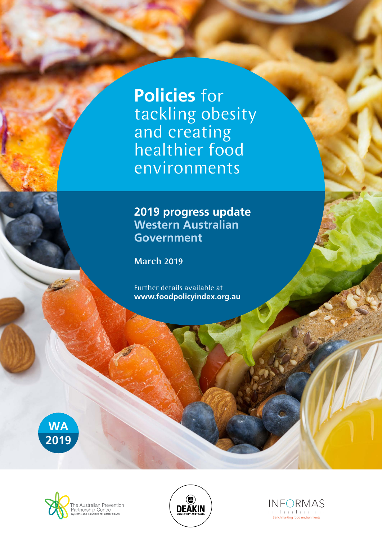**Policies** for tackling obesity and creating healthier food environments

## **2019 progress update Western Australian Government**

March 2019

Further details available at **www.foodpolicyindex.org.au**







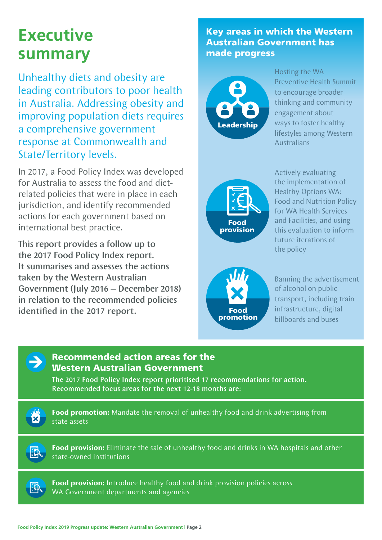# **Executive summary**

Unhealthy diets and obesity are leading contributors to poor health in Australia. Addressing obesity and improving population diets requires a comprehensive government response at Commonwealth and State/Territory levels.

In 2017, a Food Policy Index was developed for Australia to assess the food and dietrelated policies that were in place in each jurisdiction, and identify recommended actions for each government based on international best practice.

This report provides a follow up to the 2017 Food Policy Index report. It summarises and assesses the actions taken by the Western Australian Government (July 2016 – December 2018) in relation to the recommended policies identified in the 2017 report.

### Key areas in which the Western Australian Government has made progress



Hosting the WA Preventive Health Summit to encourage broader thinking and community engagement about ways to foster healthy lifestyles among Western **Australians** 



Actively evaluating the implementation of Healthy Options WA: Food and Nutrition Policy for WA Health Services and Facilities, and using this evaluation to inform future iterations of the policy



Banning the advertisement of alcohol on public transport, including train infrastructure, digital billboards and buses



#### Recommended action areas for the Western Australian Government

The 2017 Food Policy Index report prioritised 17 recommendations for action. Recommended focus areas for the next 12-18 months are:

**Food promotion:** Mandate the removal of unhealthy food and drink advertising from state assets

**FEL** 

**Food provision:** Eliminate the sale of unhealthy food and drinks in WA hospitals and other state-owned institutions



**Food provision:** Introduce healthy food and drink provision policies across WA Government departments and agencies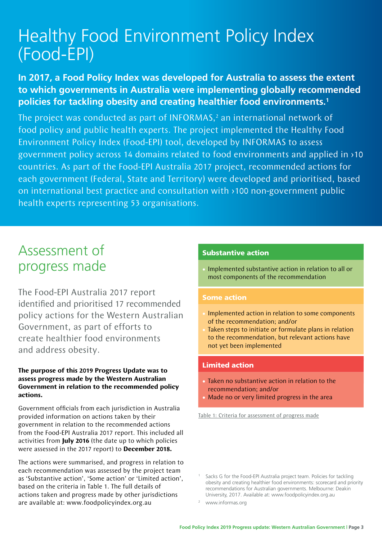# Healthy Food Environment Policy Index (Food-EPI)

### **In 2017, a Food Policy Index was developed for Australia to assess the extent to which governments in Australia were implementing globally recommended policies for tackling obesity and creating healthier food environments.1**

The project was conducted as part of INFORMAS, $<sup>2</sup>$  an international network of</sup> food policy and public health experts. The project implemented the Healthy Food Environment Policy Index (Food-EPI) tool, developed by INFORMAS to assess government policy across 14 domains related to food environments and applied in >10 countries. As part of the Food-EPI Australia 2017 project, recommended actions for each government (Federal, State and Territory) were developed and prioritised, based on international best practice and consultation with >100 non-government public health experts representing 53 organisations.

# Assessment of progress made

The Food-EPI Australia 2017 report identified and prioritised 17 recommended policy actions for the Western Australian Government, as part of efforts to create healthier food environments and address obesity.

#### **The purpose of this 2019 Progress Update was to assess progress made by the Western Australian Government in relation to the recommended policy actions.**

Government officials from each jurisdiction in Australia provided information on actions taken by their government in relation to the recommended actions from the Food-EPI Australia 2017 report. This included all activities from **July 2016** (the date up to which policies were assessed in the 2017 report) to **December 2018.**

The actions were summarised, and progress in relation to each recommendation was assessed by the project team as 'Substantive action', 'Some action' or 'Limited action', based on the criteria in Table 1. The full details of actions taken and progress made by other jurisdictions are available at: www.foodpolicyindex.org.au

#### Substantive action

• Implemented substantive action in relation to all or most components of the recommendation

#### Some action

- Implemented action in relation to some components of the recommendation; and/or
- Taken steps to initiate or formulate plans in relation to the recommendation, but relevant actions have not yet been implemented

#### Limited action

- Taken no substantive action in relation to the recommendation; and/or
- Made no or very limited progress in the area

Table 1: Criteria for assessment of progress made

Sacks G for the Food-EPI Australia project team. Policies for tackling obesity and creating healthier food environments: scorecard and priority recommendations for Australian governments. Melbourne: Deakin University, 2017. Available at: www.foodpolicyindex.org.au

www.informas.org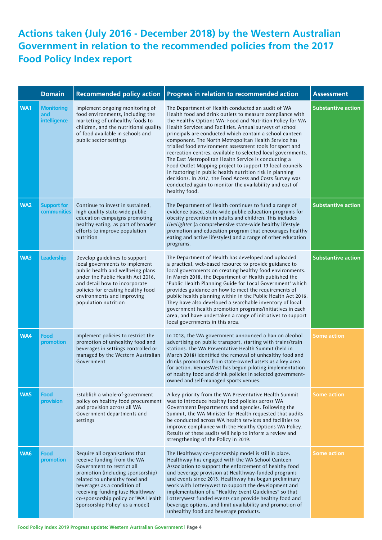## **Actions taken (July 2016 - December 2018) by the Western Australian Government in relation to the recommended policies from the 2017 Food Policy Index report**

|     | <b>Domain</b>                            | <b>Recommended policy action</b>                                                                                                                                                                                                                                                                               | Progress in relation to recommended action                                                                                                                                                                                                                                                                                                                                                                                                                                                                                                                                                                                                                                                                                                                                                                   | <b>Assessment</b>         |
|-----|------------------------------------------|----------------------------------------------------------------------------------------------------------------------------------------------------------------------------------------------------------------------------------------------------------------------------------------------------------------|--------------------------------------------------------------------------------------------------------------------------------------------------------------------------------------------------------------------------------------------------------------------------------------------------------------------------------------------------------------------------------------------------------------------------------------------------------------------------------------------------------------------------------------------------------------------------------------------------------------------------------------------------------------------------------------------------------------------------------------------------------------------------------------------------------------|---------------------------|
| WA1 | <b>Monitoring</b><br>and<br>intelligence | Implement ongoing monitoring of<br>food environments, including the<br>marketing of unhealthy foods to<br>children, and the nutritional quality<br>of food available in schools and<br>public sector settings                                                                                                  | The Department of Health conducted an audit of WA<br>Health food and drink outlets to measure compliance with<br>the Healthy Options WA: Food and Nutrition Policy for WA<br>Health Services and Facilities. Annual surveys of school<br>principals are conducted which contain a school canteen<br>component. The North Metropolitan Health Service has<br>trialled food environment assessment tools for sport and<br>recreation centres, available to selected local governments.<br>The East Metropolitan Health Service is conducting a<br>Food Outlet Mapping project to support 13 local councils<br>in factoring in public health nutrition risk in planning<br>decisions. In 2017, the Food Access and Costs Survey was<br>conducted again to monitor the availability and cost of<br>healthy food. | <b>Substantive action</b> |
| WA2 | <b>Support for</b><br><b>communities</b> | Continue to invest in sustained,<br>high quality state-wide public<br>education campaigns promoting<br>healthy eating, as part of broader<br>efforts to improve population<br>nutrition                                                                                                                        | The Department of Health continues to fund a range of<br>evidence based, state-wide public education programs for<br>obesity prevention in adults and children. This includes<br>LiveLighter (a comprehensive state-wide healthy lifestyle<br>promotion and education program that encourages healthy<br>eating and active lifestyles) and a range of other education<br>programs.                                                                                                                                                                                                                                                                                                                                                                                                                           | <b>Substantive action</b> |
| WA3 | <b>Leadership</b>                        | Develop guidelines to support<br>local governments to implement<br>public health and wellbeing plans<br>under the Public Health Act 2016,<br>and detail how to incorporate<br>policies for creating healthy food<br>environments and improving<br>population nutrition                                         | The Department of Health has developed and uploaded<br>a practical, web-based resource to provide guidance to<br>local governments on creating healthy food environments.<br>In March 2018, the Department of Health published the<br>'Public Health Planning Guide for Local Government' which<br>provides guidance on how to meet the requirements of<br>public health planning within in the Public Health Act 2016.<br>They have also developed a searchable inventory of local<br>government health promotion programs/initiatives in each<br>area, and have undertaken a range of initiatives to support<br>local governments in this area.                                                                                                                                                            | <b>Substantive action</b> |
| WA4 | Food<br>promotion                        | Implement policies to restrict the<br>promotion of unhealthy food and<br>beverages in settings controlled or<br>managed by the Western Australian<br>Government                                                                                                                                                | In 2018, the WA government announced a ban on alcohol<br>advertising on public transport, starting with trains/train<br>stations. The WA Preventative Health Summit (held in<br>March 2018) identified the removal of unhealthy food and<br>drinks promotions from state-owned assets as a key area<br>for action. VenuesWest has begun piloting implementation<br>of healthy food and drink policies in selected government-<br>owned and self-managed sports venues.                                                                                                                                                                                                                                                                                                                                       | <b>Some action</b>        |
| WA5 | <b>Food</b><br>provision                 | Establish a whole-of-government<br>policy on healthy food procurement<br>and provision across all WA<br>Government departments and<br>settings                                                                                                                                                                 | A key priority from the WA Preventative Health Summit<br>was to introduce healthy food policies across WA<br>Government Departments and agencies. Following the<br>Summit, the WA Minister for Health requested that audits<br>be conducted across WA health services and facilities to<br>improve compliance with the Healthy Options WA Policy.<br>Results of these audits will help to inform a review and<br>strengthening of the Policy in 2019.                                                                                                                                                                                                                                                                                                                                                        | <b>Some action</b>        |
| WA6 | Food<br>promotion                        | Require all organisations that<br>receive funding from the WA<br>Government to restrict all<br>promotion (including sponsorship)<br>related to unhealthy food and<br>beverages as a condition of<br>receiving funding (use Healthway<br>co-sponsorship policy or 'WA Health<br>Sponsorship Policy' as a model) | The Healthway co-sponsorship model is still in place.<br>Healthway has engaged with the WA School Canteen<br>Association to support the enforcement of healthy food<br>and beverage provision at Healthway-funded programs<br>and events since 2013. Healthway has begun preliminary<br>work with Lotterywest to support the development and<br>implementation of a "Healthy Event Guidelines" so that<br>Lotterywest funded events can provide healthy food and<br>beverage options, and limit availability and promotion of<br>unhealthy food and beverage products.                                                                                                                                                                                                                                       | <b>Some action</b>        |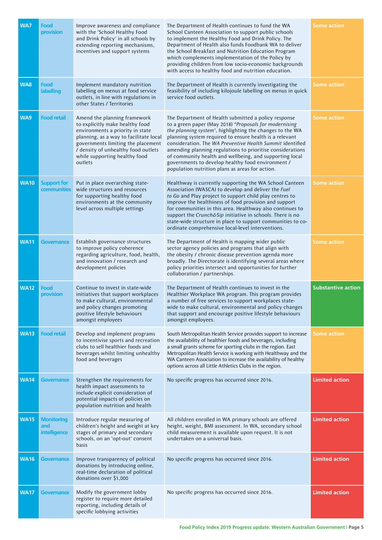| WA7         | Food<br>provision                        | Improve awareness and compliance<br>with the 'School Healthy Food<br>and Drink Policy' in all schools by<br>extending reporting mechanisms,<br>incentives and support systems                                                                                          | The Department of Health continues to fund the WA<br>School Canteen Association to support public schools<br>to implement the Healthy Food and Drink Policy. The<br>Department of Health also funds Foodbank WA to deliver<br>the School Breakfast and Nutrition Education Program<br>which complements implementation of the Policy by<br>providing children from low socio-economic backgrounds<br>with access to healthy food and nutrition education.                                                                           | <b>Some action</b>        |
|-------------|------------------------------------------|------------------------------------------------------------------------------------------------------------------------------------------------------------------------------------------------------------------------------------------------------------------------|-------------------------------------------------------------------------------------------------------------------------------------------------------------------------------------------------------------------------------------------------------------------------------------------------------------------------------------------------------------------------------------------------------------------------------------------------------------------------------------------------------------------------------------|---------------------------|
| <b>WA8</b>  | Food<br><b>labelling</b>                 | Implement mandatory nutrition<br>labelling on menus at food service<br>outlets, in line with regulations in<br>other States / Territories                                                                                                                              | The Department of Health is currently investigating the<br>feasibility of including kilojoule labelling on menus in quick<br>service food outlets.                                                                                                                                                                                                                                                                                                                                                                                  | <b>Some action</b>        |
| WA9         | <b>Food retail</b>                       | Amend the planning framework<br>to explicitly make healthy food<br>environments a priority in state<br>planning, as a way to facilitate local<br>governments limiting the placement<br>/ density of unhealthy food outlets<br>while supporting healthy food<br>outlets | The Department of Health submitted a policy response<br>to a green paper (May 2018) "Proposals for modernising<br>the planning system', highlighting the changes to the WA<br>planning system required to ensure health is a relevant<br>consideration. The WA Preventive Health Summit identified<br>amending planning regulations to prioritise considerations<br>of community health and wellbeing, and supporting local<br>governments to develop healthy food environment /<br>population nutrition plans as areas for action. | <b>Some action</b>        |
| <b>WA10</b> | <b>Support for</b><br><b>communities</b> | Put in place overarching state-<br>wide structures and resources<br>for supporting healthy food<br>environments at the community<br>level across multiple settings                                                                                                     | Healthway is currently supporting the WA School Canteen<br>Association (WASCA) to develop and deliver the Fuel<br>to Go and Play project to support child play centres to<br>improve the healthiness of food provision and support<br>for communities in this area. Healthway also continues to<br>support the Crunch&Sip initiative in schools. There is no<br>state-wide structure in place to support communities to co-<br>ordinate comprehensive local-level interventions.                                                    | <b>Some action</b>        |
| <b>WA11</b> | <b>Governance</b>                        | Establish governance structures<br>to improve policy coherence<br>regarding agriculture, food, health,<br>and innovation / research and<br>development policies                                                                                                        | The Department of Health is mapping wider public<br>sector agency policies and programs that align with<br>the obesity / chronic disease prevention agenda more<br>broadly. The Directorate is identifying several areas where<br>policy priorities intersect and opportunities for further<br>collaboration / partnerships.                                                                                                                                                                                                        | <b>Some action</b>        |
| <b>WA12</b> | Food<br>provision                        | Continue to invest in state-wide<br>initiatives that support workplaces<br>to make cultural, environmental<br>and policy changes promoting<br>positive lifestyle behaviours<br>amongst employees                                                                       | The Department of Health continues to invest in the<br>Healthier Workplace WA program. This program provides<br>a number of free services to support workplaces state-<br>wide to make cultural, environmental and policy changes<br>that support and encourage positive lifestyle behaviours<br>amongst employees.                                                                                                                                                                                                                 | <b>Substantive action</b> |
| <b>WA13</b> | <b>Food retail</b>                       | Develop and implement programs<br>to incentivise sports and recreation<br>clubs to sell healthier foods and<br>beverages whilst limiting unhealthy<br>food and beverages                                                                                               | South Metropolitan Health Service provides support to increase<br>the availability of healthier foods and beverages, including<br>a small grants scheme for sporting clubs in the region. East<br>Metropolitan Health Service is working with Healthway and the<br>WA Canteen Association to increase the availability of healthy<br>options across all Little Athletics Clubs in the region.                                                                                                                                       | <b>Some action</b>        |
| <b>WA14</b> | <b>Governance</b>                        | Strengthen the requirements for<br>health impact assessments to<br>include explicit consideration of<br>potential impacts of policies on<br>population nutrition and health                                                                                            | No specific progress has occurred since 2016.                                                                                                                                                                                                                                                                                                                                                                                                                                                                                       | <b>Limited action</b>     |
| <b>WA15</b> | <b>Monitoring</b><br>and<br>intelligence | Introduce regular measuring of<br>children's height and weight at key<br>stages of primary and secondary<br>schools, on an 'opt-out' consent<br>basis                                                                                                                  | All children enrolled in WA primary schools are offered<br>height, weight, BMI assessment. In WA, secondary school<br>child measurement is available upon request. It is not<br>undertaken on a universal basis.                                                                                                                                                                                                                                                                                                                    | <b>Limited action</b>     |
| <b>WA16</b> | <b>Governance</b>                        | Improve transparency of political<br>donations by introducing online,<br>real-time declaration of political<br>donations over \$1,000                                                                                                                                  | No specific progress has occurred since 2016.                                                                                                                                                                                                                                                                                                                                                                                                                                                                                       | <b>Limited action</b>     |
| <b>WA17</b> | <b>Governance</b>                        | Modify the government lobby<br>register to require more detailed<br>reporting, including details of<br>specific lobbying activities                                                                                                                                    | No specific progress has occurred since 2016.                                                                                                                                                                                                                                                                                                                                                                                                                                                                                       | <b>Limited action</b>     |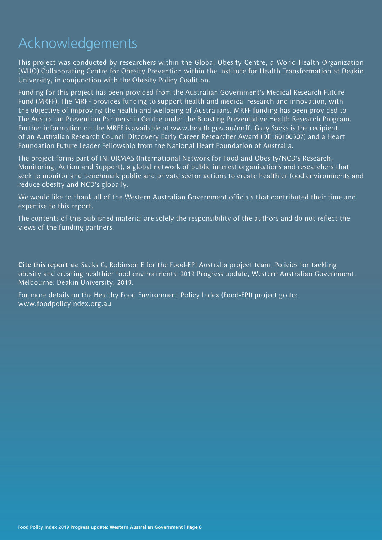# Acknowledgements

This project was conducted by researchers within the Global Obesity Centre, a World Health Organization (WHO) Collaborating Centre for Obesity Prevention within the Institute for Health Transformation at Deakin University, in conjunction with the Obesity Policy Coalition.

Funding for this project has been provided from the Australian Government's Medical Research Future Fund (MRFF). The MRFF provides funding to support health and medical research and innovation, with the objective of improving the health and wellbeing of Australians. MRFF funding has been provided to The Australian Prevention Partnership Centre under the Boosting Preventative Health Research Program. Further information on the MRFF is available at www.health.gov.au/mrff. Gary Sacks is the recipient of an Australian Research Council Discovery Early Career Researcher Award (DE160100307) and a Heart Foundation Future Leader Fellowship from the National Heart Foundation of Australia.

The project forms part of INFORMAS (International Network for Food and Obesity/NCD's Research, Monitoring, Action and Support), a global network of public interest organisations and researchers that seek to monitor and benchmark public and private sector actions to create healthier food environments and reduce obesity and NCD's globally.

We would like to thank all of the Western Australian Government officials that contributed their time and expertise to this report.

The contents of this published material are solely the responsibility of the authors and do not reflect the views of the funding partners.

Cite this report as: Sacks G, Robinson E for the Food-EPI Australia project team. Policies for tackling obesity and creating healthier food environments: 2019 Progress update, Western Australian Government. Melbourne: Deakin University, 2019.

For more details on the Healthy Food Environment Policy Index (Food-EPI) project go to: www.foodpolicyindex.org.au